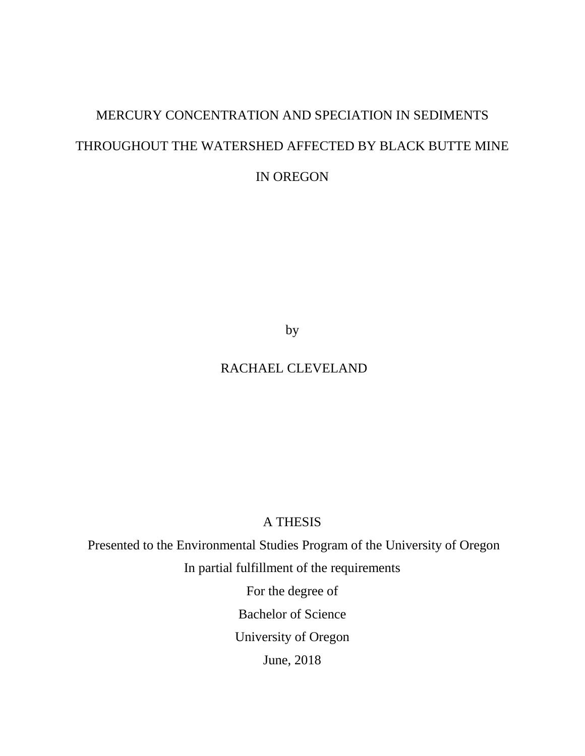# MERCURY CONCENTRATION AND SPECIATION IN SEDIMENTS THROUGHOUT THE WATERSHED AFFECTED BY BLACK BUTTE MINE IN OREGON

by

# RACHAEL CLEVELAND

# A THESIS

Presented to the Environmental Studies Program of the University of Oregon In partial fulfillment of the requirements For the degree of Bachelor of Science University of Oregon June, 2018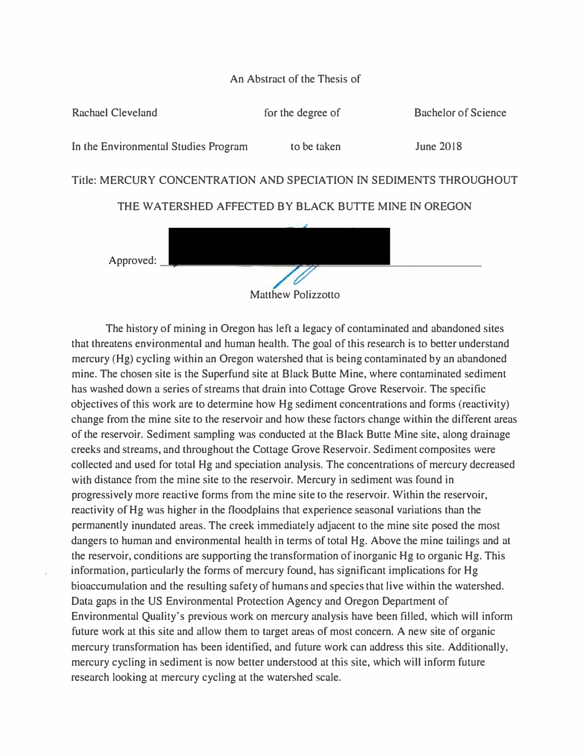# An Abstract of the Thesis of





The history of mining in Oregon has left a legacy of contaminated and abandoned sites that threatens environmental and human health. The goal of this research is to better understand mercury (Hg) cycling within an Oregon watershed that is being contaminated by an abandoned mine. The chosen site is the Superfund site at Black Butte Mine, where contaminated sediment has washed down a series of streams that drain into Cottage Grove Reservoir. The specific objectives of this work are to determine how Hg sediment concentrations and forms (reactivity) change from the mine site to the reservoir and how these factors change within the different areas of the reservoir. Sediment sampling was conducted at the Black Butte Mine site, along drainage creeks and streams, and throughout the Cottage Grove Reservoir. Sediment composites were collected and used for total Hg and speciation analysis. The concentrations of mercury decreased with distance from the mine site to the reservoir. Mercury in sediment was found in progressively more reactive forms from the mine site to the reservoir. Within the reservoir, reactivity of Hg was higher in the floodplains that experience seasonal variations than the permanently inundated areas. The creek immediately adjacent to the mine site posed the most dangers to human and environmental health in terms of total Hg. Above the mine tailings and at the reservoir, conditions are supporting the transformation of inorganic Hg to organic Hg. This information, particularly the forms of mercury found, has significant implications for Hg bioaccumulation and the resulting safety of humans and species that live within the watershed. Data gaps in the US Environmental Protection Agency and Oregon Department of Environmental Quality's previous work on mercury analysis have been filled, which will inform future work at this site and allow them to target areas of most concern. A new site of organic mercury transformation has been identified, and future work can address this site. Additionally, mercury cycling in sediment is now better understood at this site, which will inform future research looking at mercury cycling at the watershed scale.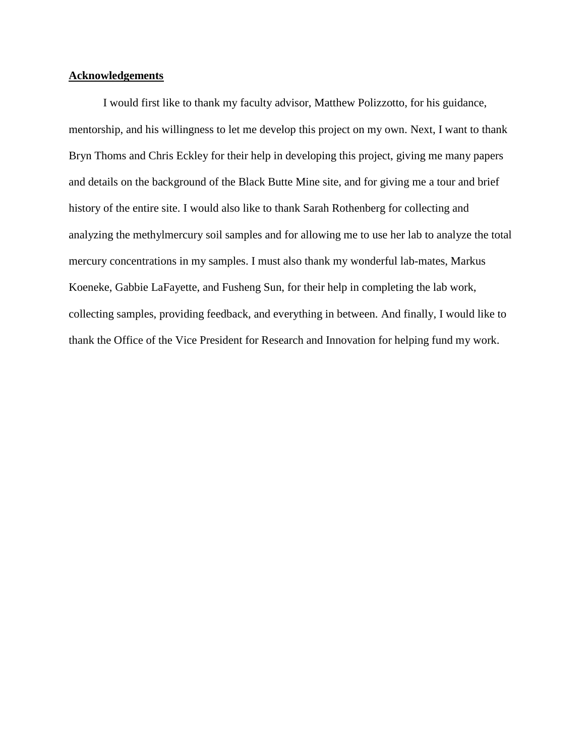#### **Acknowledgements**

I would first like to thank my faculty advisor, Matthew Polizzotto, for his guidance, mentorship, and his willingness to let me develop this project on my own. Next, I want to thank Bryn Thoms and Chris Eckley for their help in developing this project, giving me many papers and details on the background of the Black Butte Mine site, and for giving me a tour and brief history of the entire site. I would also like to thank Sarah Rothenberg for collecting and analyzing the methylmercury soil samples and for allowing me to use her lab to analyze the total mercury concentrations in my samples. I must also thank my wonderful lab-mates, Markus Koeneke, Gabbie LaFayette, and Fusheng Sun, for their help in completing the lab work, collecting samples, providing feedback, and everything in between. And finally, I would like to thank the Office of the Vice President for Research and Innovation for helping fund my work.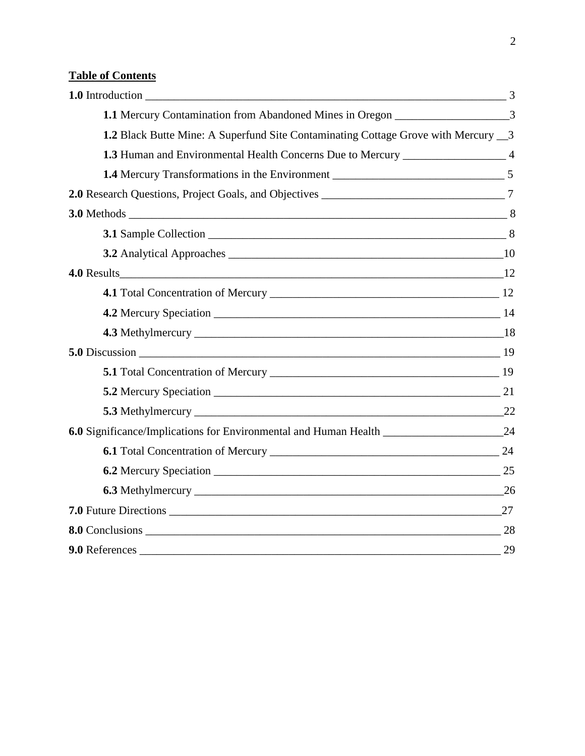# **Table of Contents**

| 1.1 Mercury Contamination from Abandoned Mines in Oregon ________________________3 |    |
|------------------------------------------------------------------------------------|----|
| 1.2 Black Butte Mine: A Superfund Site Contaminating Cottage Grove with Mercury 3  |    |
| 1.3 Human and Environmental Health Concerns Due to Mercury _____________________ 4 |    |
|                                                                                    |    |
|                                                                                    |    |
|                                                                                    |    |
|                                                                                    |    |
|                                                                                    |    |
|                                                                                    |    |
|                                                                                    |    |
|                                                                                    |    |
|                                                                                    |    |
|                                                                                    |    |
|                                                                                    |    |
|                                                                                    |    |
|                                                                                    |    |
|                                                                                    |    |
|                                                                                    |    |
|                                                                                    |    |
|                                                                                    |    |
|                                                                                    |    |
| <b>8.0</b> Conclusions 28                                                          |    |
| 9.0 References                                                                     | 29 |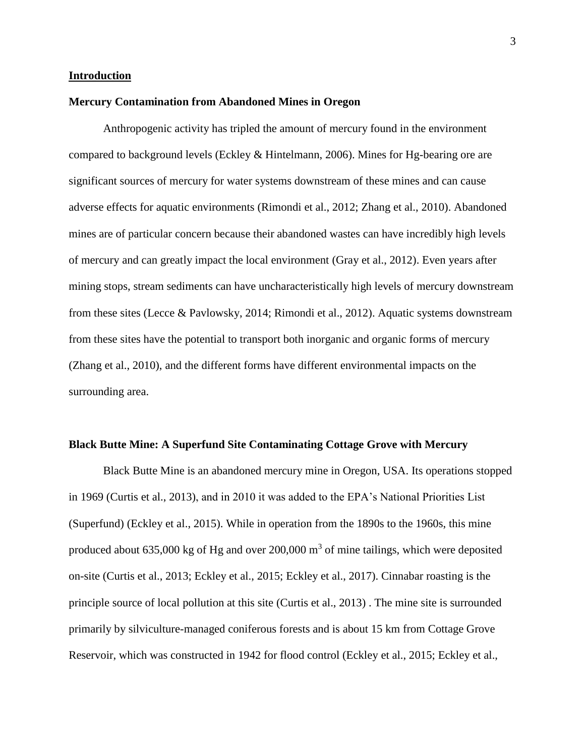#### **Introduction**

#### **Mercury Contamination from Abandoned Mines in Oregon**

Anthropogenic activity has tripled the amount of mercury found in the environment compared to background levels (Eckley & Hintelmann, 2006). Mines for Hg-bearing ore are significant sources of mercury for water systems downstream of these mines and can cause adverse effects for aquatic environments (Rimondi et al., 2012; Zhang et al., 2010). Abandoned mines are of particular concern because their abandoned wastes can have incredibly high levels of mercury and can greatly impact the local environment (Gray et al., 2012). Even years after mining stops, stream sediments can have uncharacteristically high levels of mercury downstream from these sites (Lecce & Pavlowsky, 2014; Rimondi et al., 2012). Aquatic systems downstream from these sites have the potential to transport both inorganic and organic forms of mercury (Zhang et al., 2010), and the different forms have different environmental impacts on the surrounding area.

#### **Black Butte Mine: A Superfund Site Contaminating Cottage Grove with Mercury**

Black Butte Mine is an abandoned mercury mine in Oregon, USA. Its operations stopped in 1969 (Curtis et al., 2013), and in 2010 it was added to the EPA's National Priorities List (Superfund) (Eckley et al., 2015). While in operation from the 1890s to the 1960s, this mine produced about 635,000 kg of Hg and over 200,000  $\text{m}^3$  of mine tailings, which were deposited on-site (Curtis et al., 2013; Eckley et al., 2015; Eckley et al., 2017). Cinnabar roasting is the principle source of local pollution at this site (Curtis et al., 2013) . The mine site is surrounded primarily by silviculture-managed coniferous forests and is about 15 km from Cottage Grove Reservoir, which was constructed in 1942 for flood control (Eckley et al., 2015; Eckley et al.,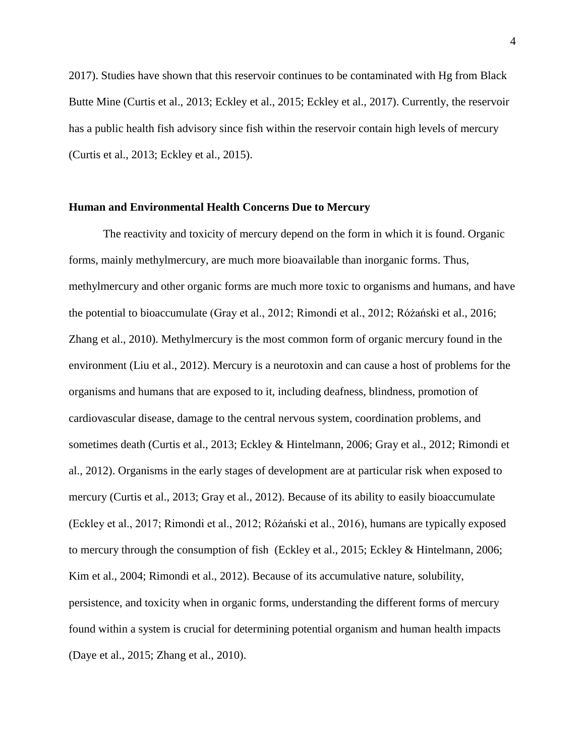2017). Studies have shown that this reservoir continues to be contaminated with Hg from Black Butte Mine (Curtis et al., 2013; Eckley et al., 2015; Eckley et al., 2017). Currently, the reservoir has a public health fish advisory since fish within the reservoir contain high levels of mercury (Curtis et al., 2013; Eckley et al., 2015).

#### **Human and Environmental Health Concerns Due to Mercury**

The reactivity and toxicity of mercury depend on the form in which it is found. Organic forms, mainly methylmercury, are much more bioavailable than inorganic forms. Thus, methylmercury and other organic forms are much more toxic to organisms and humans, and have the potential to bioaccumulate (Gray et al., 2012; Rimondi et al., 2012; Różański et al., 2016; Zhang et al., 2010). Methylmercury is the most common form of organic mercury found in the environment (Liu et al., 2012). Mercury is a neurotoxin and can cause a host of problems for the organisms and humans that are exposed to it, including deafness, blindness, promotion of cardiovascular disease, damage to the central nervous system, coordination problems, and sometimes death (Curtis et al., 2013; Eckley & Hintelmann, 2006; Gray et al., 2012; Rimondi et al., 2012). Organisms in the early stages of development are at particular risk when exposed to mercury (Curtis et al., 2013; Gray et al., 2012). Because of its ability to easily bioaccumulate (Eckley et al., 2017; Rimondi et al., 2012; Różański et al., 2016), humans are typically exposed to mercury through the consumption of fish (Eckley et al., 2015; Eckley & Hintelmann, 2006; Kim et al., 2004; Rimondi et al., 2012). Because of its accumulative nature, solubility, persistence, and toxicity when in organic forms, understanding the different forms of mercury found within a system is crucial for determining potential organism and human health impacts (Daye et al., 2015; Zhang et al., 2010).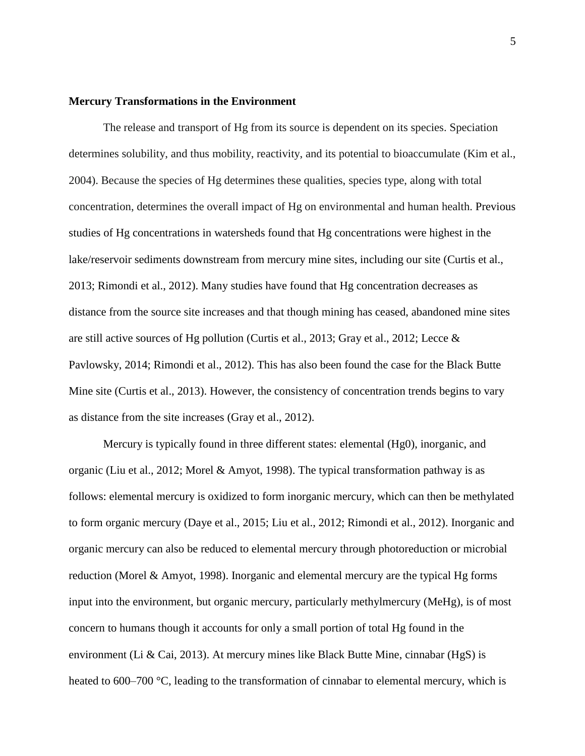#### **Mercury Transformations in the Environment**

The release and transport of Hg from its source is dependent on its species. Speciation determines solubility, and thus mobility, reactivity, and its potential to bioaccumulate (Kim et al., 2004). Because the species of Hg determines these qualities, species type, along with total concentration, determines the overall impact of Hg on environmental and human health. Previous studies of Hg concentrations in watersheds found that Hg concentrations were highest in the lake/reservoir sediments downstream from mercury mine sites, including our site (Curtis et al., 2013; Rimondi et al., 2012). Many studies have found that Hg concentration decreases as distance from the source site increases and that though mining has ceased, abandoned mine sites are still active sources of Hg pollution (Curtis et al., 2013; Gray et al., 2012; Lecce & Pavlowsky, 2014; Rimondi et al., 2012). This has also been found the case for the Black Butte Mine site (Curtis et al., 2013). However, the consistency of concentration trends begins to vary as distance from the site increases (Gray et al., 2012).

Mercury is typically found in three different states: elemental (Hg0), inorganic, and organic (Liu et al., 2012; Morel & Amyot, 1998). The typical transformation pathway is as follows: elemental mercury is oxidized to form inorganic mercury, which can then be methylated to form organic mercury (Daye et al., 2015; Liu et al., 2012; Rimondi et al., 2012). Inorganic and organic mercury can also be reduced to elemental mercury through photoreduction or microbial reduction (Morel & Amyot, 1998). Inorganic and elemental mercury are the typical Hg forms input into the environment, but organic mercury, particularly methylmercury (MeHg), is of most concern to humans though it accounts for only a small portion of total Hg found in the environment (Li & Cai, 2013). At mercury mines like Black Butte Mine, cinnabar (HgS) is heated to 600–700 °C, leading to the transformation of cinnabar to elemental mercury, which is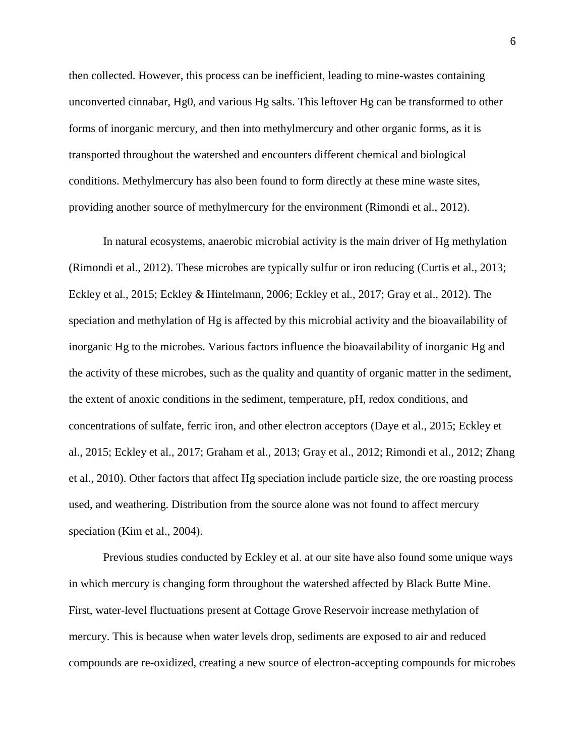then collected. However, this process can be inefficient, leading to mine-wastes containing unconverted cinnabar, Hg0, and various Hg salts. This leftover Hg can be transformed to other forms of inorganic mercury, and then into methylmercury and other organic forms, as it is transported throughout the watershed and encounters different chemical and biological conditions. Methylmercury has also been found to form directly at these mine waste sites, providing another source of methylmercury for the environment (Rimondi et al., 2012).

In natural ecosystems, anaerobic microbial activity is the main driver of Hg methylation (Rimondi et al., 2012). These microbes are typically sulfur or iron reducing (Curtis et al., 2013; Eckley et al., 2015; Eckley & Hintelmann, 2006; Eckley et al., 2017; Gray et al., 2012). The speciation and methylation of Hg is affected by this microbial activity and the bioavailability of inorganic Hg to the microbes. Various factors influence the bioavailability of inorganic Hg and the activity of these microbes, such as the quality and quantity of organic matter in the sediment, the extent of anoxic conditions in the sediment, temperature, pH, redox conditions, and concentrations of sulfate, ferric iron, and other electron acceptors (Daye et al., 2015; Eckley et al., 2015; Eckley et al., 2017; Graham et al., 2013; Gray et al., 2012; Rimondi et al., 2012; Zhang et al., 2010). Other factors that affect Hg speciation include particle size, the ore roasting process used, and weathering. Distribution from the source alone was not found to affect mercury speciation (Kim et al., 2004).

Previous studies conducted by Eckley et al. at our site have also found some unique ways in which mercury is changing form throughout the watershed affected by Black Butte Mine. First, water-level fluctuations present at Cottage Grove Reservoir increase methylation of mercury. This is because when water levels drop, sediments are exposed to air and reduced compounds are re-oxidized, creating a new source of electron-accepting compounds for microbes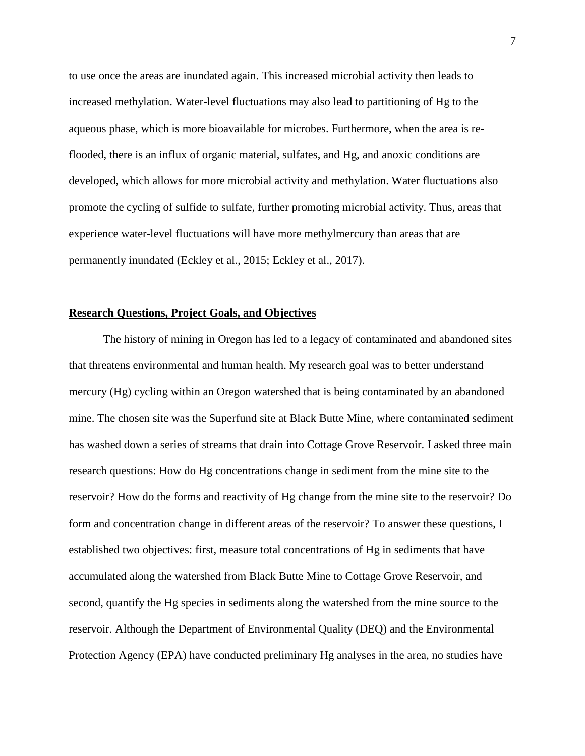to use once the areas are inundated again. This increased microbial activity then leads to increased methylation. Water-level fluctuations may also lead to partitioning of Hg to the aqueous phase, which is more bioavailable for microbes. Furthermore, when the area is reflooded, there is an influx of organic material, sulfates, and Hg, and anoxic conditions are developed, which allows for more microbial activity and methylation. Water fluctuations also promote the cycling of sulfide to sulfate, further promoting microbial activity. Thus, areas that experience water-level fluctuations will have more methylmercury than areas that are permanently inundated (Eckley et al., 2015; Eckley et al., 2017).

#### **Research Questions, Project Goals, and Objectives**

The history of mining in Oregon has led to a legacy of contaminated and abandoned sites that threatens environmental and human health. My research goal was to better understand mercury (Hg) cycling within an Oregon watershed that is being contaminated by an abandoned mine. The chosen site was the Superfund site at Black Butte Mine, where contaminated sediment has washed down a series of streams that drain into Cottage Grove Reservoir. I asked three main research questions: How do Hg concentrations change in sediment from the mine site to the reservoir? How do the forms and reactivity of Hg change from the mine site to the reservoir? Do form and concentration change in different areas of the reservoir? To answer these questions, I established two objectives: first, measure total concentrations of Hg in sediments that have accumulated along the watershed from Black Butte Mine to Cottage Grove Reservoir, and second, quantify the Hg species in sediments along the watershed from the mine source to the reservoir. Although the Department of Environmental Quality (DEQ) and the Environmental Protection Agency (EPA) have conducted preliminary Hg analyses in the area, no studies have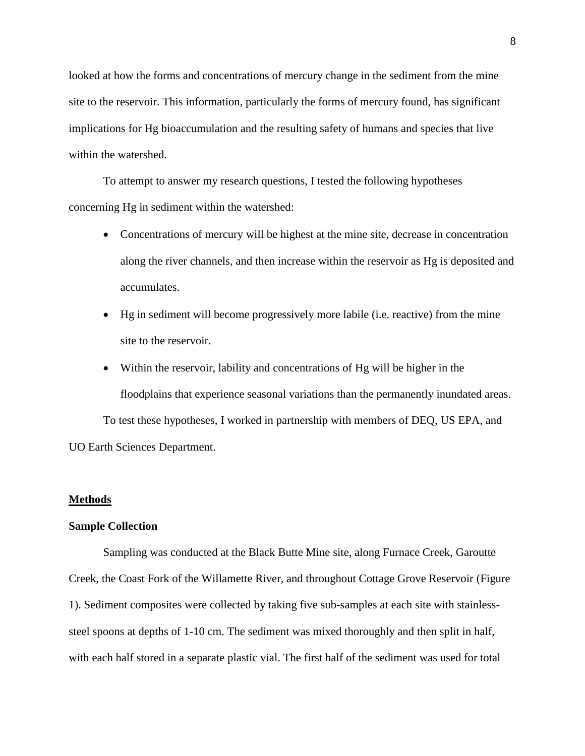looked at how the forms and concentrations of mercury change in the sediment from the mine site to the reservoir. This information, particularly the forms of mercury found, has significant implications for Hg bioaccumulation and the resulting safety of humans and species that live within the watershed.

To attempt to answer my research questions, I tested the following hypotheses concerning Hg in sediment within the watershed:

- Concentrations of mercury will be highest at the mine site, decrease in concentration along the river channels, and then increase within the reservoir as Hg is deposited and accumulates.
- Hg in sediment will become progressively more labile (i.e. reactive) from the mine site to the reservoir.
- Within the reservoir, lability and concentrations of Hg will be higher in the floodplains that experience seasonal variations than the permanently inundated areas. To test these hypotheses, I worked in partnership with members of DEQ, US EPA, and UO Earth Sciences Department.

#### **Methods**

#### **Sample Collection**

Sampling was conducted at the Black Butte Mine site, along Furnace Creek, Garoutte Creek, the Coast Fork of the Willamette River, and throughout Cottage Grove Reservoir (Figure 1). Sediment composites were collected by taking five sub-samples at each site with stainlesssteel spoons at depths of 1-10 cm. The sediment was mixed thoroughly and then split in half, with each half stored in a separate plastic vial. The first half of the sediment was used for total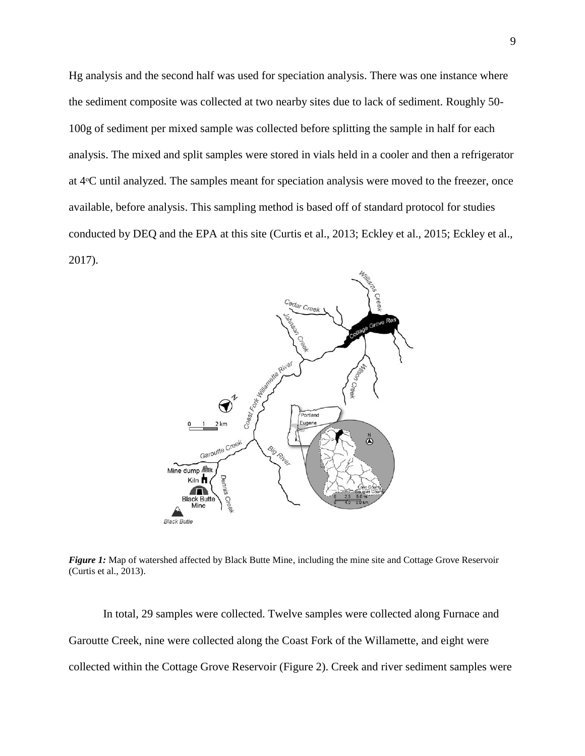Hg analysis and the second half was used for speciation analysis. There was one instance where the sediment composite was collected at two nearby sites due to lack of sediment. Roughly 50- 100g of sediment per mixed sample was collected before splitting the sample in half for each analysis. The mixed and split samples were stored in vials held in a cooler and then a refrigerator at 4ᵒC until analyzed. The samples meant for speciation analysis were moved to the freezer, once available, before analysis. This sampling method is based off of standard protocol for studies conducted by DEQ and the EPA at this site (Curtis et al., 2013; Eckley et al., 2015; Eckley et al., 2017).



*Figure 1:* Map of watershed affected by Black Butte Mine, including the mine site and Cottage Grove Reservoir (Curtis et al., 2013).

In total, 29 samples were collected. Twelve samples were collected along Furnace and Garoutte Creek, nine were collected along the Coast Fork of the Willamette, and eight were collected within the Cottage Grove Reservoir (Figure 2). Creek and river sediment samples were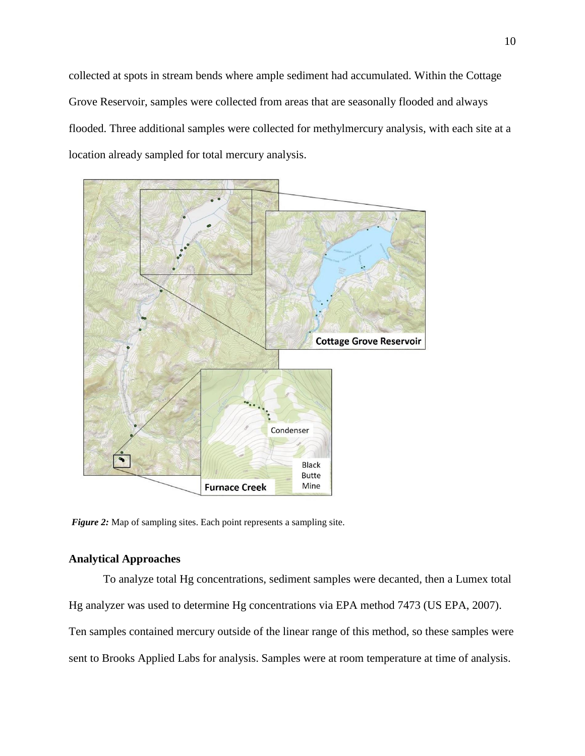collected at spots in stream bends where ample sediment had accumulated. Within the Cottage Grove Reservoir, samples were collected from areas that are seasonally flooded and always flooded. Three additional samples were collected for methylmercury analysis, with each site at a location already sampled for total mercury analysis.



*Figure 2:* Map of sampling sites. Each point represents a sampling site.

## **Analytical Approaches**

To analyze total Hg concentrations, sediment samples were decanted, then a Lumex total Hg analyzer was used to determine Hg concentrations via EPA method 7473 (US EPA, 2007). Ten samples contained mercury outside of the linear range of this method, so these samples were sent to Brooks Applied Labs for analysis. Samples were at room temperature at time of analysis.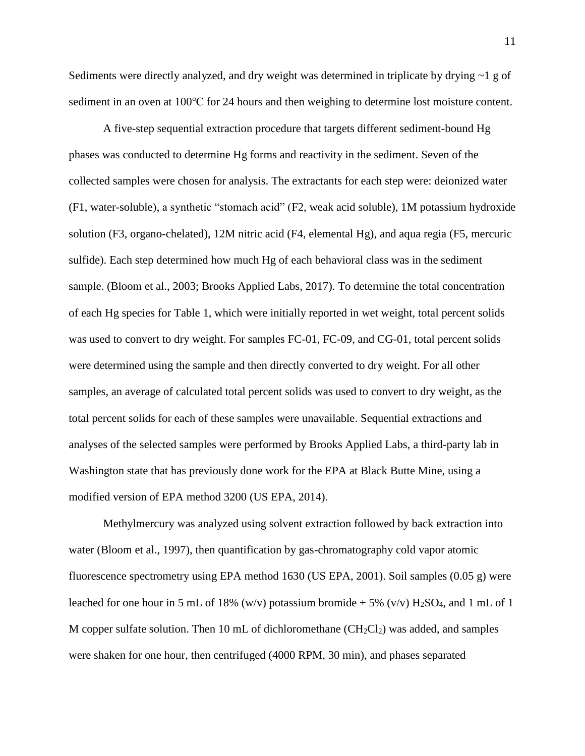Sediments were directly analyzed, and dry weight was determined in triplicate by drying ~1 g of sediment in an oven at 100℃ for 24 hours and then weighing to determine lost moisture content.

A five-step sequential extraction procedure that targets different sediment-bound Hg phases was conducted to determine Hg forms and reactivity in the sediment. Seven of the collected samples were chosen for analysis. The extractants for each step were: deionized water (F1, water-soluble), a synthetic "stomach acid" (F2, weak acid soluble), 1M potassium hydroxide solution (F3, organo-chelated), 12M nitric acid (F4, elemental Hg), and aqua regia (F5, mercuric sulfide). Each step determined how much Hg of each behavioral class was in the sediment sample. (Bloom et al., 2003; Brooks Applied Labs, 2017). To determine the total concentration of each Hg species for Table 1, which were initially reported in wet weight, total percent solids was used to convert to dry weight. For samples FC-01, FC-09, and CG-01, total percent solids were determined using the sample and then directly converted to dry weight. For all other samples, an average of calculated total percent solids was used to convert to dry weight, as the total percent solids for each of these samples were unavailable. Sequential extractions and analyses of the selected samples were performed by Brooks Applied Labs, a third-party lab in Washington state that has previously done work for the EPA at Black Butte Mine, using a modified version of EPA method 3200 (US EPA, 2014).

Methylmercury was analyzed using solvent extraction followed by back extraction into water (Bloom et al., 1997), then quantification by gas-chromatography cold vapor atomic fluorescence spectrometry using EPA method 1630 (US EPA, 2001). Soil samples (0.05 g) were leached for one hour in 5 mL of 18% (w/v) potassium bromide  $+5\%$  (v/v) H<sub>2</sub>SO<sub>4</sub>, and 1 mL of 1 M copper sulfate solution. Then 10 mL of dichloromethane  $(CH_2Cl_2)$  was added, and samples were shaken for one hour, then centrifuged (4000 RPM, 30 min), and phases separated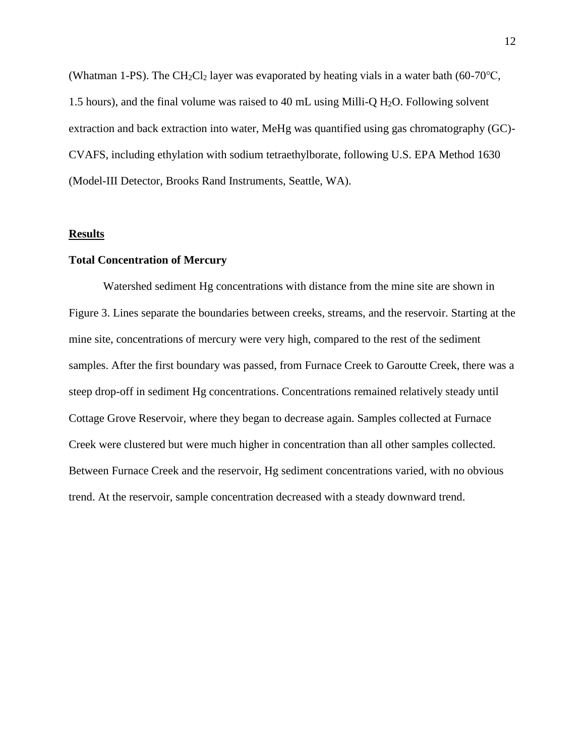(Whatman 1-PS). The CH<sub>2</sub>Cl<sub>2</sub> layer was evaporated by heating vials in a water bath (60-70°C, 1.5 hours), and the final volume was raised to 40 mL using Milli-Q  $H<sub>2</sub>O$ . Following solvent extraction and back extraction into water, MeHg was quantified using gas chromatography (GC)- CVAFS, including ethylation with sodium tetraethylborate, following U.S. EPA Method 1630 (Model-III Detector, Brooks Rand Instruments, Seattle, WA).

#### **Results**

#### **Total Concentration of Mercury**

Watershed sediment Hg concentrations with distance from the mine site are shown in Figure 3. Lines separate the boundaries between creeks, streams, and the reservoir. Starting at the mine site, concentrations of mercury were very high, compared to the rest of the sediment samples. After the first boundary was passed, from Furnace Creek to Garoutte Creek, there was a steep drop-off in sediment Hg concentrations. Concentrations remained relatively steady until Cottage Grove Reservoir, where they began to decrease again. Samples collected at Furnace Creek were clustered but were much higher in concentration than all other samples collected. Between Furnace Creek and the reservoir, Hg sediment concentrations varied, with no obvious trend. At the reservoir, sample concentration decreased with a steady downward trend.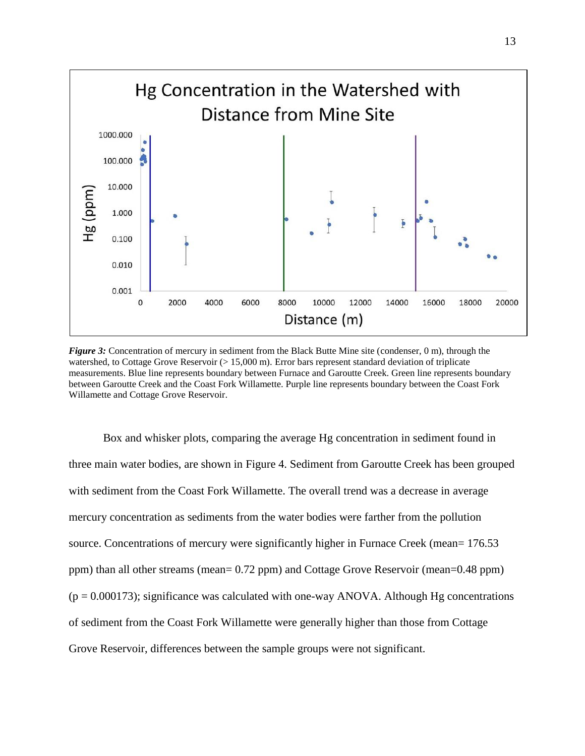

*Figure 3:* Concentration of mercury in sediment from the Black Butte Mine site (condenser, 0 m), through the watershed, to Cottage Grove Reservoir (> 15,000 m). Error bars represent standard deviation of triplicate measurements. Blue line represents boundary between Furnace and Garoutte Creek. Green line represents boundary between Garoutte Creek and the Coast Fork Willamette. Purple line represents boundary between the Coast Fork Willamette and Cottage Grove Reservoir.

Box and whisker plots, comparing the average Hg concentration in sediment found in three main water bodies, are shown in Figure 4. Sediment from Garoutte Creek has been grouped with sediment from the Coast Fork Willamette. The overall trend was a decrease in average mercury concentration as sediments from the water bodies were farther from the pollution source. Concentrations of mercury were significantly higher in Furnace Creek (mean= 176.53 ppm) than all other streams (mean= 0.72 ppm) and Cottage Grove Reservoir (mean=0.48 ppm)  $(p = 0.000173)$ ; significance was calculated with one-way ANOVA. Although Hg concentrations of sediment from the Coast Fork Willamette were generally higher than those from Cottage Grove Reservoir, differences between the sample groups were not significant.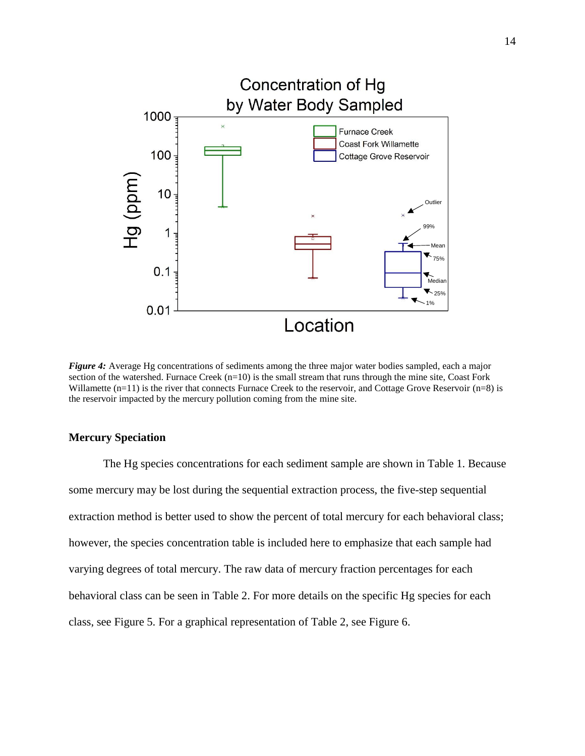

*Figure 4:* Average Hg concentrations of sediments among the three major water bodies sampled, each a major section of the watershed. Furnace Creek  $(n=10)$  is the small stream that runs through the mine site, Coast Fork Willamette  $(n=11)$  is the river that connects Furnace Creek to the reservoir, and Cottage Grove Reservoir  $(n=8)$  is the reservoir impacted by the mercury pollution coming from the mine site.

#### **Mercury Speciation**

The Hg species concentrations for each sediment sample are shown in Table 1. Because some mercury may be lost during the sequential extraction process, the five-step sequential extraction method is better used to show the percent of total mercury for each behavioral class; however, the species concentration table is included here to emphasize that each sample had varying degrees of total mercury. The raw data of mercury fraction percentages for each behavioral class can be seen in Table 2. For more details on the specific Hg species for each class, see Figure 5. For a graphical representation of Table 2, see Figure 6.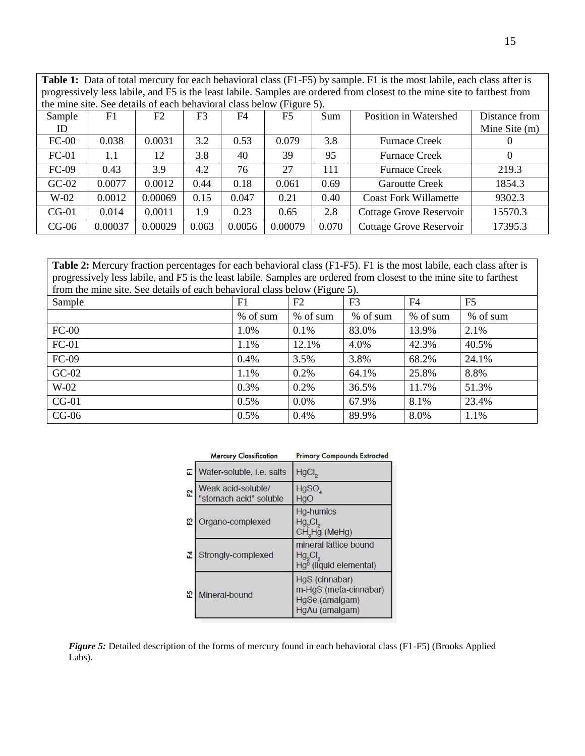**Table 1:** Data of total mercury for each behavioral class (F1-F5) by sample. F1 is the most labile, each class after is progressively less labile, and F5 is the least labile. Samples are ordered from closest to the mine site to farthest from the mine site. See details of each behavioral class below (Figure 5).

| $\sim$ -0 $\sim$ - $\sim$ ) $\sim$ |         |         |                |                |                |       |                                |                 |
|------------------------------------|---------|---------|----------------|----------------|----------------|-------|--------------------------------|-----------------|
| Sample                             | F1      | F2      | F <sub>3</sub> | F <sub>4</sub> | F <sub>5</sub> | Sum   | Position in Watershed          | Distance from   |
| ID                                 |         |         |                |                |                |       |                                | Mine Site $(m)$ |
| $FC-00$                            | 0.038   | 0.0031  | 3.2            | 0.53           | 0.079          | 3.8   | <b>Furnace Creek</b>           |                 |
| $FC-01$                            | 1.1     | 12      | 3.8            | 40             | 39             | 95    | <b>Furnace Creek</b>           | 0               |
| $FC-09$                            | 0.43    | 3.9     | 4.2            | 76             | 27             | 111   | <b>Furnace Creek</b>           | 219.3           |
| $GC-02$                            | 0.0077  | 0.0012  | 0.44           | 0.18           | 0.061          | 0.69  | <b>Garoutte Creek</b>          | 1854.3          |
| $W-02$                             | 0.0012  | 0.00069 | 0.15           | 0.047          | 0.21           | 0.40  | <b>Coast Fork Willamette</b>   | 9302.3          |
| $CG-01$                            | 0.014   | 0.0011  | 1.9            | 0.23           | 0.65           | 2.8   | <b>Cottage Grove Reservoir</b> | 15570.3         |
| $CG-06$                            | 0.00037 | 0.00029 | 0.063          | 0.0056         | 0.00079        | 0.070 | <b>Cottage Grove Reservoir</b> | 17395.3         |

**Table 2:** Mercury fraction percentages for each behavioral class (F1-F5). F1 is the most labile, each class after is progressively less labile, and F5 is the least labile. Samples are ordered from closest to the mine site to farthest from the mine site. See details of each behavioral class below (Figure 5).

| Sample  | F1       | $\sim$ $\sim$<br>F2 | F <sub>3</sub> | F <sub>4</sub> | F <sub>5</sub> |
|---------|----------|---------------------|----------------|----------------|----------------|
|         | % of sum | % of sum            | % of sum       | % of sum       | % of sum       |
| $FC-00$ | 1.0%     | 0.1%                | 83.0%          | 13.9%          | 2.1%           |
| $FC-01$ | 1.1%     | 12.1%               | 4.0%           | 42.3%          | 40.5%          |
| FC-09   | 0.4%     | 3.5%                | 3.8%           | 68.2%          | 24.1%          |
| $GC-02$ | 1.1%     | 0.2%                | 64.1%          | 25.8%          | 8.8%           |
| $W-02$  | 0.3%     | 0.2%                | 36.5%          | 11.7%          | 51.3%          |
| $CG-01$ | 0.5%     | 0.0%                | 67.9%          | 8.1%           | 23.4%          |
| $CG-06$ | 0.5%     | 0.4%                | 89.9%          | 8.0%           | 1.1%           |

|                | <b>Mercury Classification</b>                | <b>Primary Compounds Extracted</b>                                            |
|----------------|----------------------------------------------|-------------------------------------------------------------------------------|
| ш              | Water-soluble, i.e. salts                    | HgCl <sub>2</sub>                                                             |
| F <sub>2</sub> | Weak acid-soluble/<br>"stomach acid" soluble | HgSO<br>HgO                                                                   |
| E3             | Organo-complexed                             | <b>Hg-humics</b><br>$Hg_{2}Cl_{2}$<br>CH <sub>3</sub> Hg (MeHg)               |
| F4             | Strongly-complexed                           | mineral lattice bound<br>$Hg_{2}Cl_{2}$<br>Hg <sup>o</sup> (liquid elemental) |
| 53             | Mineral-bound                                | HgS (cinnabar)<br>m-HgS (meta-cinnabar)<br>HgSe (amalgam)<br>HgAu (amalgam)   |

*Figure 5:* Detailed description of the forms of mercury found in each behavioral class (F1-F5) (Brooks Applied Labs).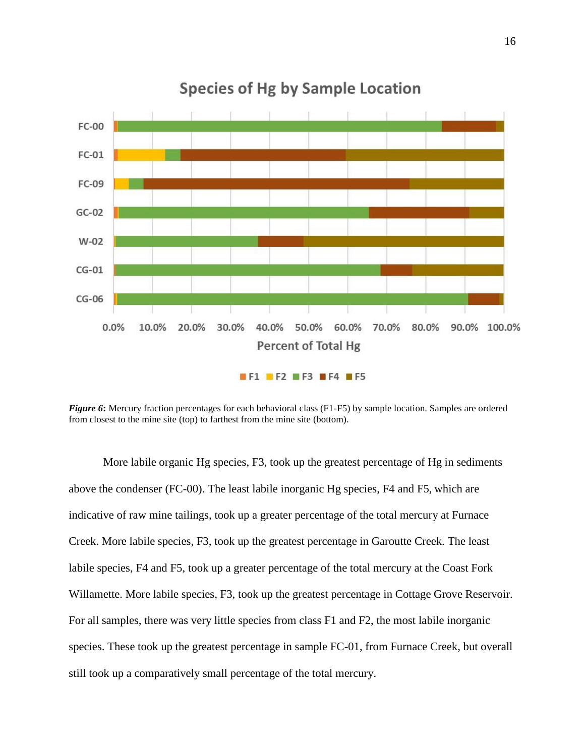

# **Species of Hg by Sample Location**

*Figure 6***:** Mercury fraction percentages for each behavioral class (F1-F5) by sample location. Samples are ordered from closest to the mine site (top) to farthest from the mine site (bottom).

More labile organic Hg species, F3, took up the greatest percentage of Hg in sediments above the condenser (FC-00). The least labile inorganic Hg species, F4 and F5, which are indicative of raw mine tailings, took up a greater percentage of the total mercury at Furnace Creek. More labile species, F3, took up the greatest percentage in Garoutte Creek. The least labile species, F4 and F5, took up a greater percentage of the total mercury at the Coast Fork Willamette. More labile species, F3, took up the greatest percentage in Cottage Grove Reservoir. For all samples, there was very little species from class F1 and F2, the most labile inorganic species. These took up the greatest percentage in sample FC-01, from Furnace Creek, but overall still took up a comparatively small percentage of the total mercury.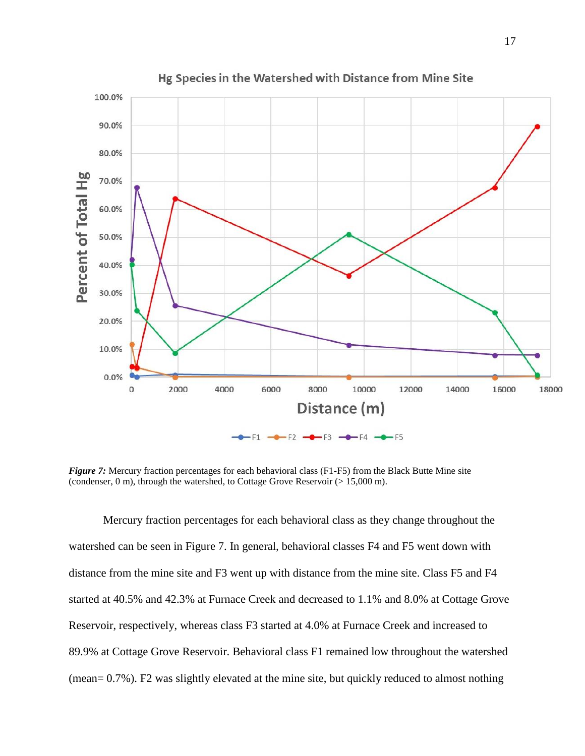

Hg Species in the Watershed with Distance from Mine Site

*Figure 7:* Mercury fraction percentages for each behavioral class (F1-F5) from the Black Butte Mine site (condenser, 0 m), through the watershed, to Cottage Grove Reservoir (> 15,000 m).

Mercury fraction percentages for each behavioral class as they change throughout the watershed can be seen in Figure 7. In general, behavioral classes F4 and F5 went down with distance from the mine site and F3 went up with distance from the mine site. Class F5 and F4 started at 40.5% and 42.3% at Furnace Creek and decreased to 1.1% and 8.0% at Cottage Grove Reservoir, respectively, whereas class F3 started at 4.0% at Furnace Creek and increased to 89.9% at Cottage Grove Reservoir. Behavioral class F1 remained low throughout the watershed (mean= 0.7%). F2 was slightly elevated at the mine site, but quickly reduced to almost nothing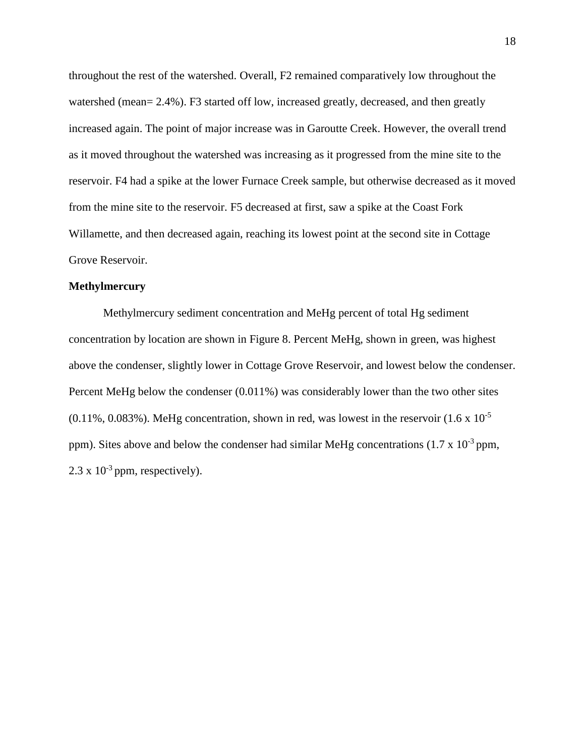throughout the rest of the watershed. Overall, F2 remained comparatively low throughout the watershed (mean= 2.4%). F3 started off low, increased greatly, decreased, and then greatly increased again. The point of major increase was in Garoutte Creek. However, the overall trend as it moved throughout the watershed was increasing as it progressed from the mine site to the reservoir. F4 had a spike at the lower Furnace Creek sample, but otherwise decreased as it moved from the mine site to the reservoir. F5 decreased at first, saw a spike at the Coast Fork Willamette, and then decreased again, reaching its lowest point at the second site in Cottage Grove Reservoir.

#### **Methylmercury**

Methylmercury sediment concentration and MeHg percent of total Hg sediment concentration by location are shown in Figure 8. Percent MeHg, shown in green, was highest above the condenser, slightly lower in Cottage Grove Reservoir, and lowest below the condenser. Percent MeHg below the condenser (0.011%) was considerably lower than the two other sites  $(0.11\%, 0.083\%)$ . MeHg concentration, shown in red, was lowest in the reservoir  $(1.6 \times 10^{-5})$ ppm). Sites above and below the condenser had similar MeHg concentrations  $(1.7 \times 10^{-3}$  ppm,  $2.3 \times 10^{-3}$  ppm, respectively).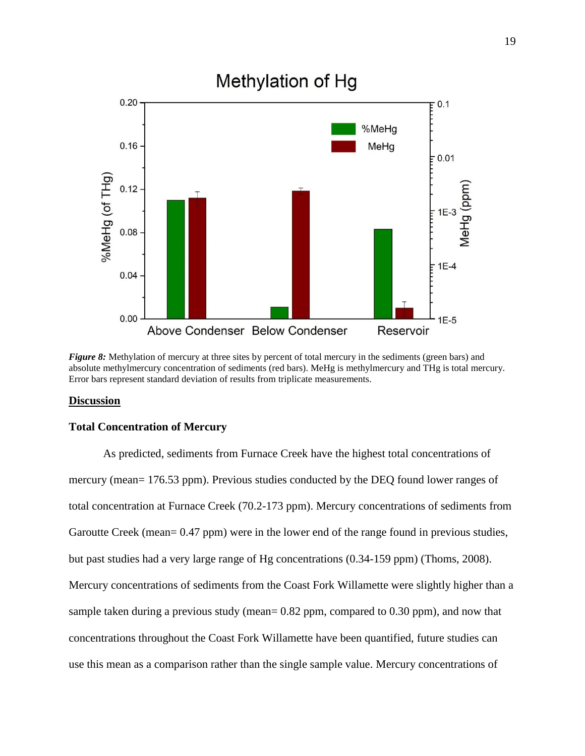

*Figure 8:* Methylation of mercury at three sites by percent of total mercury in the sediments (green bars) and absolute methylmercury concentration of sediments (red bars). MeHg is methylmercury and THg is total mercury. Error bars represent standard deviation of results from triplicate measurements.

## **Discussion**

## **Total Concentration of Mercury**

As predicted, sediments from Furnace Creek have the highest total concentrations of mercury (mean= 176.53 ppm). Previous studies conducted by the DEQ found lower ranges of total concentration at Furnace Creek (70.2-173 ppm). Mercury concentrations of sediments from Garoutte Creek (mean= 0.47 ppm) were in the lower end of the range found in previous studies, but past studies had a very large range of Hg concentrations (0.34-159 ppm) (Thoms, 2008). Mercury concentrations of sediments from the Coast Fork Willamette were slightly higher than a sample taken during a previous study (mean= 0.82 ppm, compared to 0.30 ppm), and now that concentrations throughout the Coast Fork Willamette have been quantified, future studies can use this mean as a comparison rather than the single sample value. Mercury concentrations of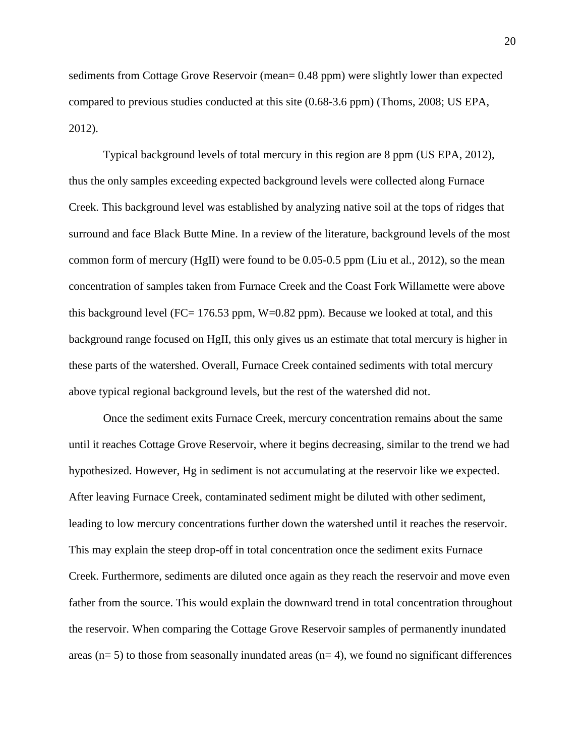sediments from Cottage Grove Reservoir (mean= 0.48 ppm) were slightly lower than expected compared to previous studies conducted at this site (0.68-3.6 ppm) (Thoms, 2008; US EPA, 2012).

Typical background levels of total mercury in this region are 8 ppm (US EPA, 2012), thus the only samples exceeding expected background levels were collected along Furnace Creek. This background level was established by analyzing native soil at the tops of ridges that surround and face Black Butte Mine. In a review of the literature, background levels of the most common form of mercury (HgII) were found to be 0.05-0.5 ppm (Liu et al., 2012), so the mean concentration of samples taken from Furnace Creek and the Coast Fork Willamette were above this background level (FC=  $176.53$  ppm, W=0.82 ppm). Because we looked at total, and this background range focused on HgII, this only gives us an estimate that total mercury is higher in these parts of the watershed. Overall, Furnace Creek contained sediments with total mercury above typical regional background levels, but the rest of the watershed did not.

Once the sediment exits Furnace Creek, mercury concentration remains about the same until it reaches Cottage Grove Reservoir, where it begins decreasing, similar to the trend we had hypothesized. However, Hg in sediment is not accumulating at the reservoir like we expected. After leaving Furnace Creek, contaminated sediment might be diluted with other sediment, leading to low mercury concentrations further down the watershed until it reaches the reservoir. This may explain the steep drop-off in total concentration once the sediment exits Furnace Creek. Furthermore, sediments are diluted once again as they reach the reservoir and move even father from the source. This would explain the downward trend in total concentration throughout the reservoir. When comparing the Cottage Grove Reservoir samples of permanently inundated areas ( $n= 5$ ) to those from seasonally inundated areas ( $n= 4$ ), we found no significant differences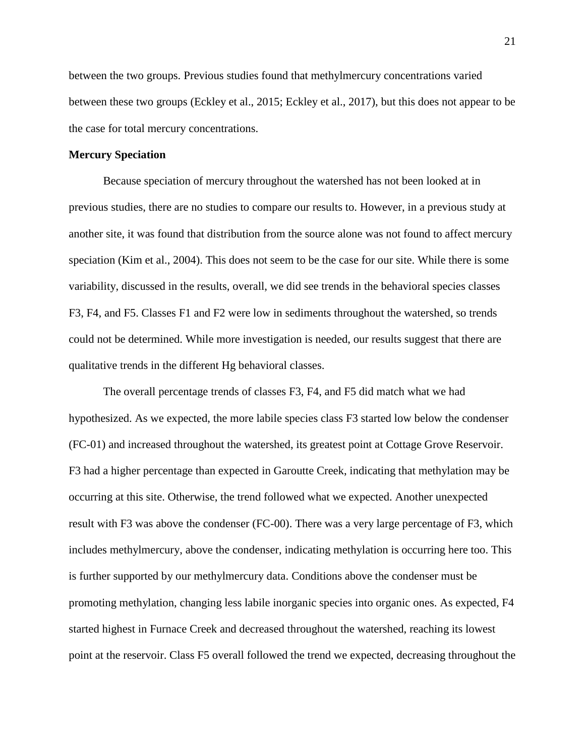between the two groups. Previous studies found that methylmercury concentrations varied between these two groups (Eckley et al., 2015; Eckley et al., 2017), but this does not appear to be the case for total mercury concentrations.

#### **Mercury Speciation**

Because speciation of mercury throughout the watershed has not been looked at in previous studies, there are no studies to compare our results to. However, in a previous study at another site, it was found that distribution from the source alone was not found to affect mercury speciation (Kim et al., 2004). This does not seem to be the case for our site. While there is some variability, discussed in the results, overall, we did see trends in the behavioral species classes F3, F4, and F5. Classes F1 and F2 were low in sediments throughout the watershed, so trends could not be determined. While more investigation is needed, our results suggest that there are qualitative trends in the different Hg behavioral classes.

The overall percentage trends of classes F3, F4, and F5 did match what we had hypothesized. As we expected, the more labile species class F3 started low below the condenser (FC-01) and increased throughout the watershed, its greatest point at Cottage Grove Reservoir. F3 had a higher percentage than expected in Garoutte Creek, indicating that methylation may be occurring at this site. Otherwise, the trend followed what we expected. Another unexpected result with F3 was above the condenser (FC-00). There was a very large percentage of F3, which includes methylmercury, above the condenser, indicating methylation is occurring here too. This is further supported by our methylmercury data. Conditions above the condenser must be promoting methylation, changing less labile inorganic species into organic ones. As expected, F4 started highest in Furnace Creek and decreased throughout the watershed, reaching its lowest point at the reservoir. Class F5 overall followed the trend we expected, decreasing throughout the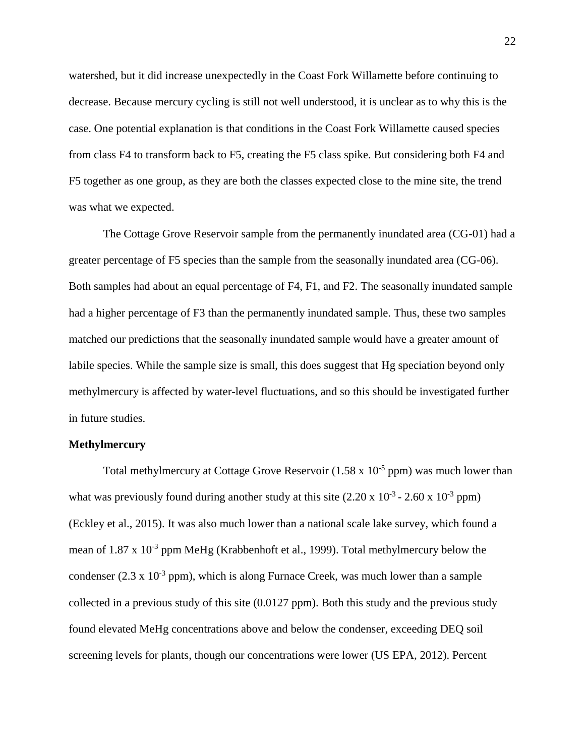watershed, but it did increase unexpectedly in the Coast Fork Willamette before continuing to decrease. Because mercury cycling is still not well understood, it is unclear as to why this is the case. One potential explanation is that conditions in the Coast Fork Willamette caused species from class F4 to transform back to F5, creating the F5 class spike. But considering both F4 and F5 together as one group, as they are both the classes expected close to the mine site, the trend was what we expected.

The Cottage Grove Reservoir sample from the permanently inundated area (CG-01) had a greater percentage of F5 species than the sample from the seasonally inundated area (CG-06). Both samples had about an equal percentage of F4, F1, and F2. The seasonally inundated sample had a higher percentage of F3 than the permanently inundated sample. Thus, these two samples matched our predictions that the seasonally inundated sample would have a greater amount of labile species. While the sample size is small, this does suggest that Hg speciation beyond only methylmercury is affected by water-level fluctuations, and so this should be investigated further in future studies.

#### **Methylmercury**

Total methylmercury at Cottage Grove Reservoir  $(1.58 \times 10^{-5} \text{ ppm})$  was much lower than what was previously found during another study at this site  $(2.20 \times 10^{-3} - 2.60 \times 10^{-3} )$  ppm (Eckley et al., 2015). It was also much lower than a national scale lake survey, which found a mean of  $1.87 \times 10^{-3}$  ppm MeHg (Krabbenhoft et al., 1999). Total methylmercury below the condenser (2.3 x  $10^{-3}$  ppm), which is along Furnace Creek, was much lower than a sample collected in a previous study of this site (0.0127 ppm). Both this study and the previous study found elevated MeHg concentrations above and below the condenser, exceeding DEQ soil screening levels for plants, though our concentrations were lower (US EPA, 2012). Percent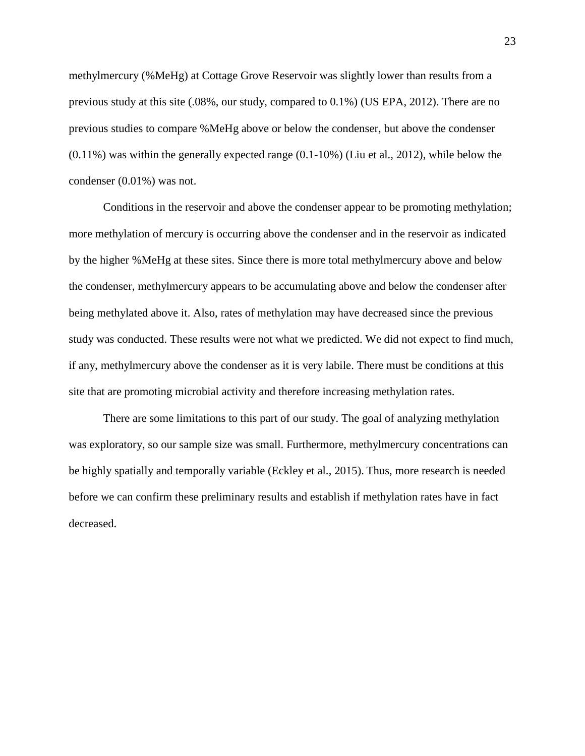methylmercury (%MeHg) at Cottage Grove Reservoir was slightly lower than results from a previous study at this site (.08%, our study, compared to 0.1%) (US EPA, 2012). There are no previous studies to compare %MeHg above or below the condenser, but above the condenser (0.11%) was within the generally expected range (0.1-10%) (Liu et al., 2012), while below the condenser (0.01%) was not.

Conditions in the reservoir and above the condenser appear to be promoting methylation; more methylation of mercury is occurring above the condenser and in the reservoir as indicated by the higher %MeHg at these sites. Since there is more total methylmercury above and below the condenser, methylmercury appears to be accumulating above and below the condenser after being methylated above it. Also, rates of methylation may have decreased since the previous study was conducted. These results were not what we predicted. We did not expect to find much, if any, methylmercury above the condenser as it is very labile. There must be conditions at this site that are promoting microbial activity and therefore increasing methylation rates.

There are some limitations to this part of our study. The goal of analyzing methylation was exploratory, so our sample size was small. Furthermore, methylmercury concentrations can be highly spatially and temporally variable (Eckley et al., 2015). Thus, more research is needed before we can confirm these preliminary results and establish if methylation rates have in fact decreased.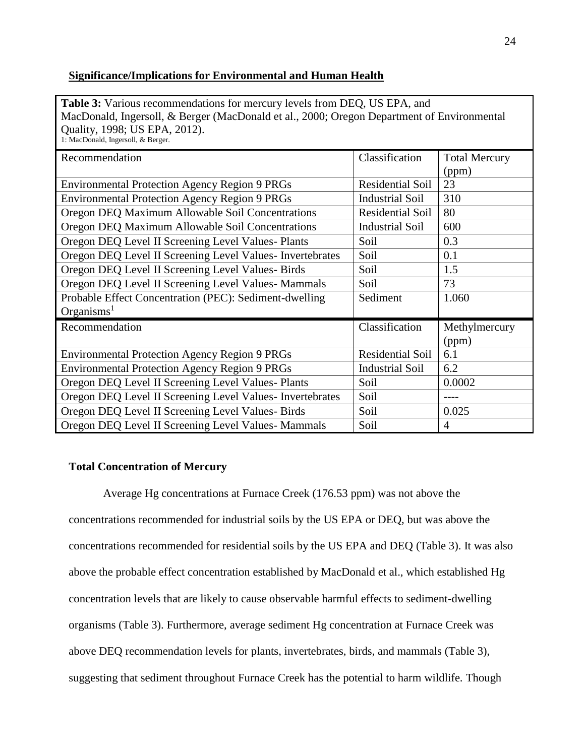## **Significance/Implications for Environmental and Human Health**

**Table 3:** Various recommendations for mercury levels from DEQ, US EPA, and MacDonald, Ingersoll, & Berger (MacDonald et al., 2000; Oregon Department of Environmental Quality, 1998; US EPA, 2012). 1: MacDonald, Ingersoll, & Berger.

| Recommendation                                            | Classification          | <b>Total Mercury</b> |
|-----------------------------------------------------------|-------------------------|----------------------|
|                                                           |                         | (ppm)                |
| <b>Environmental Protection Agency Region 9 PRGs</b>      | <b>Residential Soil</b> | 23                   |
| <b>Environmental Protection Agency Region 9 PRGs</b>      | <b>Industrial Soil</b>  | 310                  |
| Oregon DEQ Maximum Allowable Soil Concentrations          | <b>Residential Soil</b> | 80                   |
| Oregon DEQ Maximum Allowable Soil Concentrations          | <b>Industrial Soil</b>  | 600                  |
| Oregon DEQ Level II Screening Level Values- Plants        | Soil                    | 0.3                  |
| Oregon DEQ Level II Screening Level Values- Invertebrates | Soil                    | 0.1                  |
| Oregon DEQ Level II Screening Level Values- Birds         | Soil                    | 1.5                  |
| Oregon DEQ Level II Screening Level Values- Mammals       | Soil                    | 73                   |
| Probable Effect Concentration (PEC): Sediment-dwelling    | Sediment                | 1.060                |
| Organisms <sup>1</sup>                                    |                         |                      |
| Recommendation                                            | Classification          | Methylmercury        |
|                                                           |                         | (ppm)                |
| <b>Environmental Protection Agency Region 9 PRGs</b>      | <b>Residential Soil</b> | 6.1                  |
| <b>Environmental Protection Agency Region 9 PRGs</b>      | <b>Industrial Soil</b>  | 6.2                  |
| Oregon DEQ Level II Screening Level Values- Plants        | Soil                    | 0.0002               |
| Oregon DEQ Level II Screening Level Values- Invertebrates | Soil                    |                      |
| Oregon DEQ Level II Screening Level Values- Birds         | Soil                    | 0.025                |
| Oregon DEQ Level II Screening Level Values- Mammals       | Soil                    | 4                    |

# **Total Concentration of Mercury**

Average Hg concentrations at Furnace Creek (176.53 ppm) was not above the concentrations recommended for industrial soils by the US EPA or DEQ, but was above the concentrations recommended for residential soils by the US EPA and DEQ (Table 3). It was also above the probable effect concentration established by MacDonald et al., which established Hg concentration levels that are likely to cause observable harmful effects to sediment-dwelling organisms (Table 3). Furthermore, average sediment Hg concentration at Furnace Creek was above DEQ recommendation levels for plants, invertebrates, birds, and mammals (Table 3), suggesting that sediment throughout Furnace Creek has the potential to harm wildlife. Though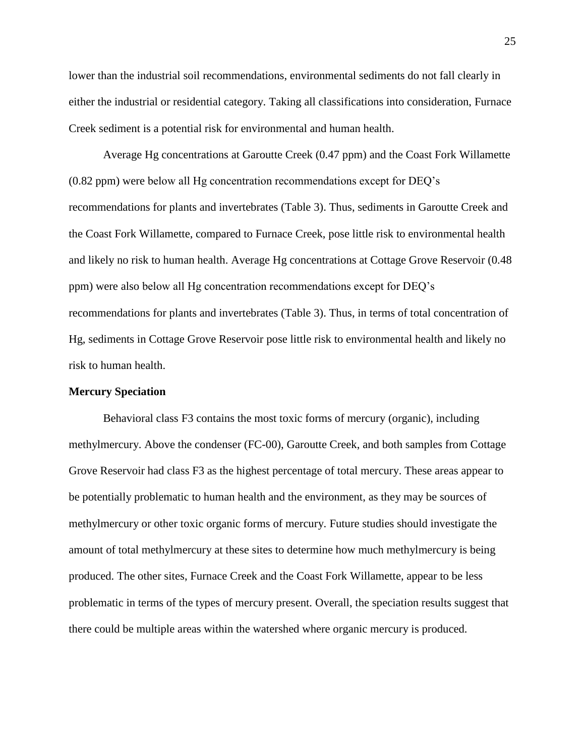lower than the industrial soil recommendations, environmental sediments do not fall clearly in either the industrial or residential category. Taking all classifications into consideration, Furnace Creek sediment is a potential risk for environmental and human health.

Average Hg concentrations at Garoutte Creek (0.47 ppm) and the Coast Fork Willamette (0.82 ppm) were below all Hg concentration recommendations except for DEQ's recommendations for plants and invertebrates (Table 3). Thus, sediments in Garoutte Creek and the Coast Fork Willamette, compared to Furnace Creek, pose little risk to environmental health and likely no risk to human health. Average Hg concentrations at Cottage Grove Reservoir (0.48 ppm) were also below all Hg concentration recommendations except for DEQ's recommendations for plants and invertebrates (Table 3). Thus, in terms of total concentration of Hg, sediments in Cottage Grove Reservoir pose little risk to environmental health and likely no risk to human health.

#### **Mercury Speciation**

Behavioral class F3 contains the most toxic forms of mercury (organic), including methylmercury. Above the condenser (FC-00), Garoutte Creek, and both samples from Cottage Grove Reservoir had class F3 as the highest percentage of total mercury. These areas appear to be potentially problematic to human health and the environment, as they may be sources of methylmercury or other toxic organic forms of mercury. Future studies should investigate the amount of total methylmercury at these sites to determine how much methylmercury is being produced. The other sites, Furnace Creek and the Coast Fork Willamette, appear to be less problematic in terms of the types of mercury present. Overall, the speciation results suggest that there could be multiple areas within the watershed where organic mercury is produced.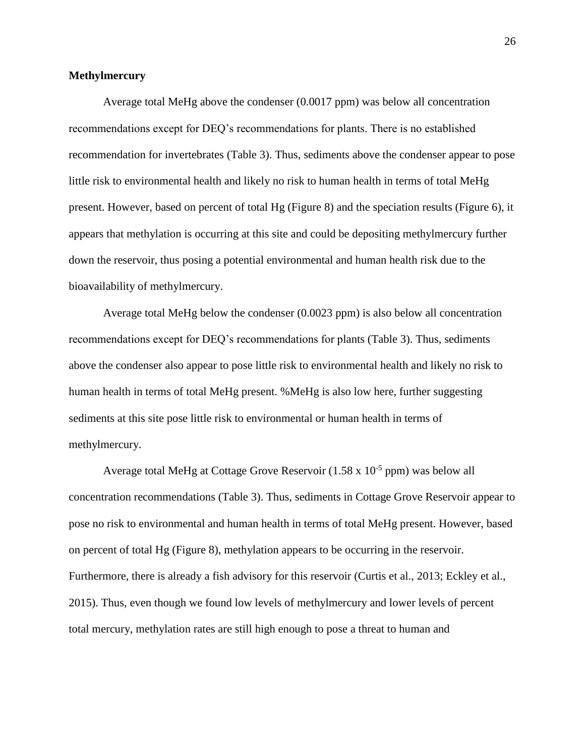#### **Methylmercury**

Average total MeHg above the condenser (0.0017 ppm) was below all concentration recommendations except for DEQ's recommendations for plants. There is no established recommendation for invertebrates (Table 3). Thus, sediments above the condenser appear to pose little risk to environmental health and likely no risk to human health in terms of total MeHg present. However, based on percent of total Hg (Figure 8) and the speciation results (Figure 6), it appears that methylation is occurring at this site and could be depositing methylmercury further down the reservoir, thus posing a potential environmental and human health risk due to the bioavailability of methylmercury.

Average total MeHg below the condenser (0.0023 ppm) is also below all concentration recommendations except for DEQ's recommendations for plants (Table 3). Thus, sediments above the condenser also appear to pose little risk to environmental health and likely no risk to human health in terms of total MeHg present. %MeHg is also low here, further suggesting sediments at this site pose little risk to environmental or human health in terms of methylmercury.

Average total MeHg at Cottage Grove Reservoir  $(1.58 \times 10^{-5} \text{ ppm})$  was below all concentration recommendations (Table 3). Thus, sediments in Cottage Grove Reservoir appear to pose no risk to environmental and human health in terms of total MeHg present. However, based on percent of total Hg (Figure 8), methylation appears to be occurring in the reservoir. Furthermore, there is already a fish advisory for this reservoir (Curtis et al., 2013; Eckley et al., 2015). Thus, even though we found low levels of methylmercury and lower levels of percent total mercury, methylation rates are still high enough to pose a threat to human and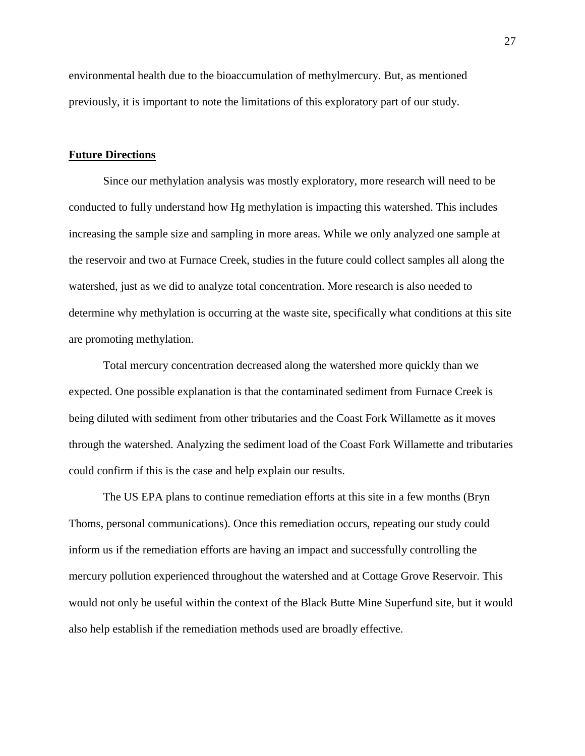environmental health due to the bioaccumulation of methylmercury. But, as mentioned previously, it is important to note the limitations of this exploratory part of our study.

#### **Future Directions**

Since our methylation analysis was mostly exploratory, more research will need to be conducted to fully understand how Hg methylation is impacting this watershed. This includes increasing the sample size and sampling in more areas. While we only analyzed one sample at the reservoir and two at Furnace Creek, studies in the future could collect samples all along the watershed, just as we did to analyze total concentration. More research is also needed to determine why methylation is occurring at the waste site, specifically what conditions at this site are promoting methylation.

Total mercury concentration decreased along the watershed more quickly than we expected. One possible explanation is that the contaminated sediment from Furnace Creek is being diluted with sediment from other tributaries and the Coast Fork Willamette as it moves through the watershed. Analyzing the sediment load of the Coast Fork Willamette and tributaries could confirm if this is the case and help explain our results.

The US EPA plans to continue remediation efforts at this site in a few months (Bryn Thoms, personal communications). Once this remediation occurs, repeating our study could inform us if the remediation efforts are having an impact and successfully controlling the mercury pollution experienced throughout the watershed and at Cottage Grove Reservoir. This would not only be useful within the context of the Black Butte Mine Superfund site, but it would also help establish if the remediation methods used are broadly effective.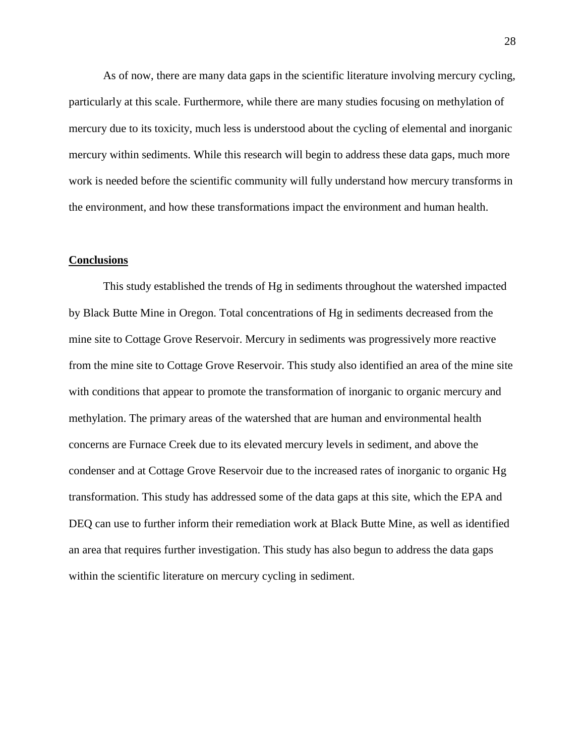As of now, there are many data gaps in the scientific literature involving mercury cycling, particularly at this scale. Furthermore, while there are many studies focusing on methylation of mercury due to its toxicity, much less is understood about the cycling of elemental and inorganic mercury within sediments. While this research will begin to address these data gaps, much more work is needed before the scientific community will fully understand how mercury transforms in the environment, and how these transformations impact the environment and human health.

#### **Conclusions**

This study established the trends of Hg in sediments throughout the watershed impacted by Black Butte Mine in Oregon. Total concentrations of Hg in sediments decreased from the mine site to Cottage Grove Reservoir. Mercury in sediments was progressively more reactive from the mine site to Cottage Grove Reservoir. This study also identified an area of the mine site with conditions that appear to promote the transformation of inorganic to organic mercury and methylation. The primary areas of the watershed that are human and environmental health concerns are Furnace Creek due to its elevated mercury levels in sediment, and above the condenser and at Cottage Grove Reservoir due to the increased rates of inorganic to organic Hg transformation. This study has addressed some of the data gaps at this site, which the EPA and DEQ can use to further inform their remediation work at Black Butte Mine, as well as identified an area that requires further investigation. This study has also begun to address the data gaps within the scientific literature on mercury cycling in sediment.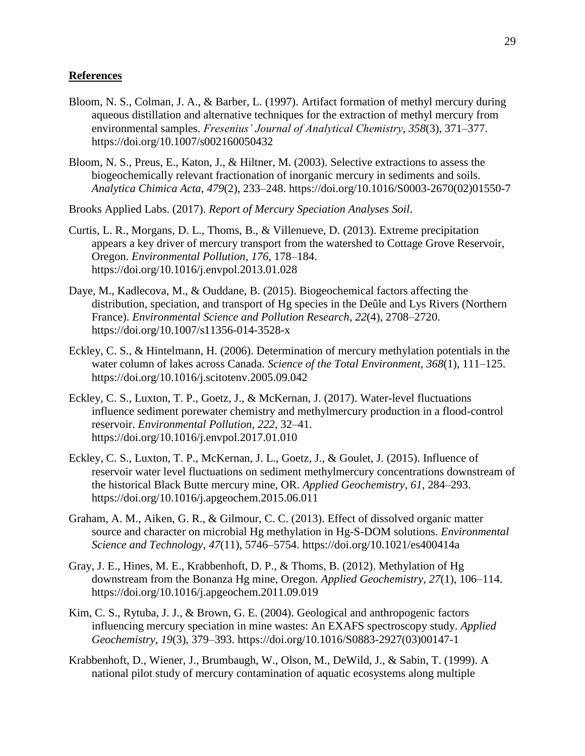#### **References**

- Bloom, N. S., Colman, J. A., & Barber, L. (1997). Artifact formation of methyl mercury during aqueous distillation and alternative techniques for the extraction of methyl mercury from environmental samples. *Fresenius' Journal of Analytical Chemistry*, *358*(3), 371–377. https://doi.org/10.1007/s002160050432
- Bloom, N. S., Preus, E., Katon, J., & Hiltner, M. (2003). Selective extractions to assess the biogeochemically relevant fractionation of inorganic mercury in sediments and soils. *Analytica Chimica Acta*, *479*(2), 233–248. https://doi.org/10.1016/S0003-2670(02)01550-7
- Brooks Applied Labs. (2017). *Report of Mercury Speciation Analyses Soil*.
- Curtis, L. R., Morgans, D. L., Thoms, B., & Villenueve, D. (2013). Extreme precipitation appears a key driver of mercury transport from the watershed to Cottage Grove Reservoir, Oregon. *Environmental Pollution*, *176*, 178–184. https://doi.org/10.1016/j.envpol.2013.01.028
- Daye, M., Kadlecova, M., & Ouddane, B. (2015). Biogeochemical factors affecting the distribution, speciation, and transport of Hg species in the Deûle and Lys Rivers (Northern France). *Environmental Science and Pollution Research*, *22*(4), 2708–2720. https://doi.org/10.1007/s11356-014-3528-x
- Eckley, C. S., & Hintelmann, H. (2006). Determination of mercury methylation potentials in the water column of lakes across Canada. *Science of the Total Environment*, *368*(1), 111–125. https://doi.org/10.1016/j.scitotenv.2005.09.042
- Eckley, C. S., Luxton, T. P., Goetz, J., & McKernan, J. (2017). Water-level fluctuations influence sediment porewater chemistry and methylmercury production in a flood-control reservoir. *Environmental Pollution*, *222*, 32–41. https://doi.org/10.1016/j.envpol.2017.01.010
- Eckley, C. S., Luxton, T. P., McKernan, J. L., Goetz, J., & Goulet, J. (2015). Influence of reservoir water level fluctuations on sediment methylmercury concentrations downstream of the historical Black Butte mercury mine, OR. *Applied Geochemistry*, *61*, 284–293. https://doi.org/10.1016/j.apgeochem.2015.06.011
- Graham, A. M., Aiken, G. R., & Gilmour, C. C. (2013). Effect of dissolved organic matter source and character on microbial Hg methylation in Hg-S-DOM solutions. *Environmental Science and Technology*, *47*(11), 5746–5754. https://doi.org/10.1021/es400414a
- Gray, J. E., Hines, M. E., Krabbenhoft, D. P., & Thoms, B. (2012). Methylation of Hg downstream from the Bonanza Hg mine, Oregon. *Applied Geochemistry*, *27*(1), 106–114. https://doi.org/10.1016/j.apgeochem.2011.09.019
- Kim, C. S., Rytuba, J. J., & Brown, G. E. (2004). Geological and anthropogenic factors influencing mercury speciation in mine wastes: An EXAFS spectroscopy study. *Applied Geochemistry*, *19*(3), 379–393. https://doi.org/10.1016/S0883-2927(03)00147-1
- Krabbenhoft, D., Wiener, J., Brumbaugh, W., Olson, M., DeWild, J., & Sabin, T. (1999). A national pilot study of mercury contamination of aquatic ecosystems along multiple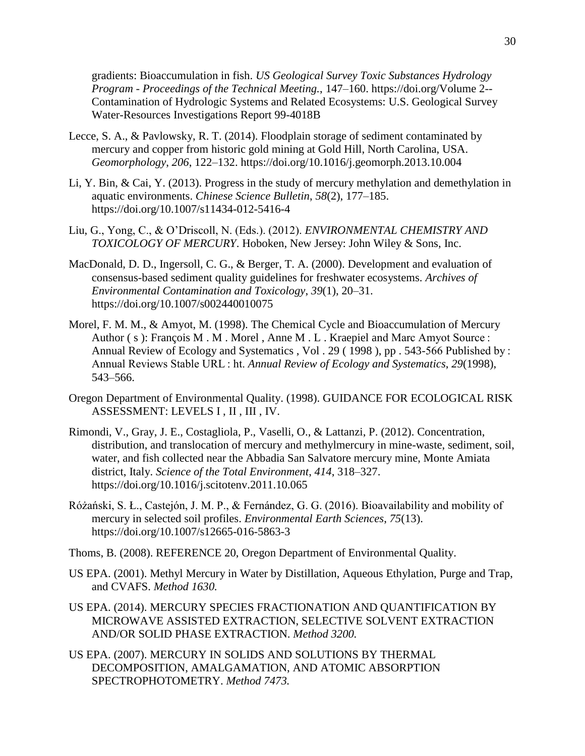gradients: Bioaccumulation in fish. *US Geological Survey Toxic Substances Hydrology Program - Proceedings of the Technical Meeting.*, 147–160. https://doi.org/Volume 2-- Contamination of Hydrologic Systems and Related Ecosystems: U.S. Geological Survey Water-Resources Investigations Report 99-4018B

- Lecce, S. A., & Pavlowsky, R. T. (2014). Floodplain storage of sediment contaminated by mercury and copper from historic gold mining at Gold Hill, North Carolina, USA. *Geomorphology*, *206*, 122–132. https://doi.org/10.1016/j.geomorph.2013.10.004
- Li, Y. Bin, & Cai, Y. (2013). Progress in the study of mercury methylation and demethylation in aquatic environments. *Chinese Science Bulletin*, *58*(2), 177–185. https://doi.org/10.1007/s11434-012-5416-4
- Liu, G., Yong, C., & O'Driscoll, N. (Eds.). (2012). *ENVIRONMENTAL CHEMISTRY AND TOXICOLOGY OF MERCURY*. Hoboken, New Jersey: John Wiley & Sons, Inc.
- MacDonald, D. D., Ingersoll, C. G., & Berger, T. A. (2000). Development and evaluation of consensus-based sediment quality guidelines for freshwater ecosystems. *Archives of Environmental Contamination and Toxicology*, *39*(1), 20–31. https://doi.org/10.1007/s002440010075
- Morel, F. M. M., & Amyot, M. (1998). The Chemical Cycle and Bioaccumulation of Mercury Author (s): François M. M. Morel, Anne M. L. Kraepiel and Marc Amyot Source : Annual Review of Ecology and Systematics , Vol . 29 ( 1998 ), pp . 543-566 Published by : Annual Reviews Stable URL : ht. *Annual Review of Ecology and Systematics*, *29*(1998), 543–566.
- Oregon Department of Environmental Quality. (1998). GUIDANCE FOR ECOLOGICAL RISK ASSESSMENT: LEVELS I , II , III , IV.
- Rimondi, V., Gray, J. E., Costagliola, P., Vaselli, O., & Lattanzi, P. (2012). Concentration, distribution, and translocation of mercury and methylmercury in mine-waste, sediment, soil, water, and fish collected near the Abbadia San Salvatore mercury mine, Monte Amiata district, Italy. *Science of the Total Environment*, *414*, 318–327. https://doi.org/10.1016/j.scitotenv.2011.10.065
- Różański, S. Ł., Castejón, J. M. P., & Fernández, G. G. (2016). Bioavailability and mobility of mercury in selected soil profiles. *Environmental Earth Sciences*, *75*(13). https://doi.org/10.1007/s12665-016-5863-3
- Thoms, B. (2008). REFERENCE 20, Oregon Department of Environmental Quality.
- US EPA. (2001). Methyl Mercury in Water by Distillation, Aqueous Ethylation, Purge and Trap, and CVAFS. *Method 1630.*
- US EPA. (2014). MERCURY SPECIES FRACTIONATION AND QUANTIFICATION BY MICROWAVE ASSISTED EXTRACTION, SELECTIVE SOLVENT EXTRACTION AND/OR SOLID PHASE EXTRACTION. *Method 3200.*
- US EPA. (2007). MERCURY IN SOLIDS AND SOLUTIONS BY THERMAL DECOMPOSITION, AMALGAMATION, AND ATOMIC ABSORPTION SPECTROPHOTOMETRY. *Method 7473.*